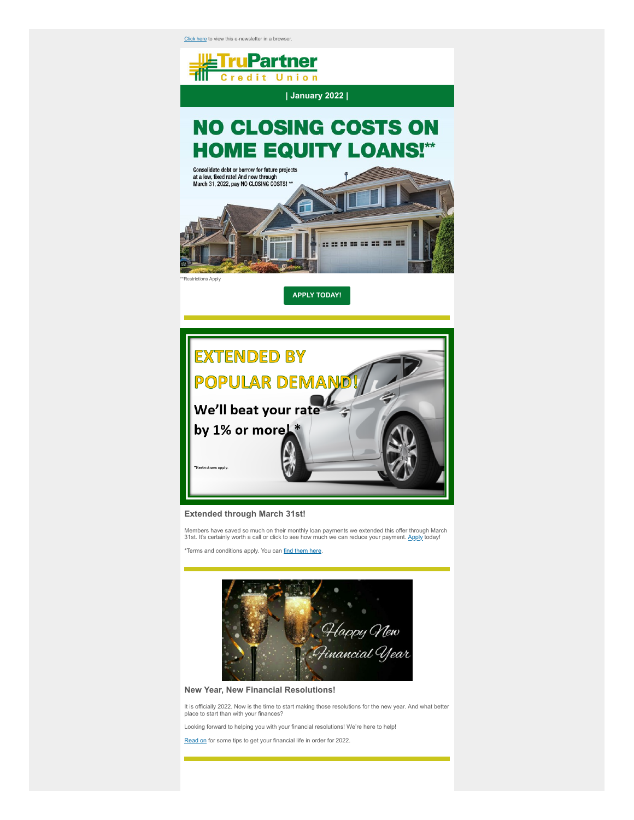[Click here](https://www.clk9.com/cueznews/v.aspx?SI=777839&E=smetzner%40trupartnercu.org&S=32&N=11225&ID=19217&NL=75) to view this e-newsletter in a browser.





## **Extended through March 31st!**

Members have saved so much on their monthly loan payments we extended this offer through March<br>31st. It's certainly worth a call or click to see how much we can reduce your payment. <u>Apply</u> today!

\*Terms and conditions apply. You can [find them here](https://www.clk9.com/cueznews/t.aspx?S=32&ID=19217&NL=75&N=11225&SI=777839&URL=https%3a%2f%2ftrupartnercu.org%2fwp-content%2fuploads%2f2021%2f11%2f22107593-22x28_NC.pdf).



**New Year, New Financial Resolutions!**

It is officially 2022. Now is the time to start making those resolutions for the new year. And what better place to start than with your finances?

Looking forward to helping you with your financial resolutions! We're here to help!

[Read on](https://www.clk9.com/cueznews/t.aspx?S=32&ID=19217&NL=75&N=11225&SI=777839&URL=https%3a%2f%2fwww.clk9.com%2fenews%2fclients%2fCUNA%2fTruPartnerCU%2fJumpPages%2f2022%2f01Jan%2fTruPartner0122A1.html) for some tips to get your financial life in order for 2022.